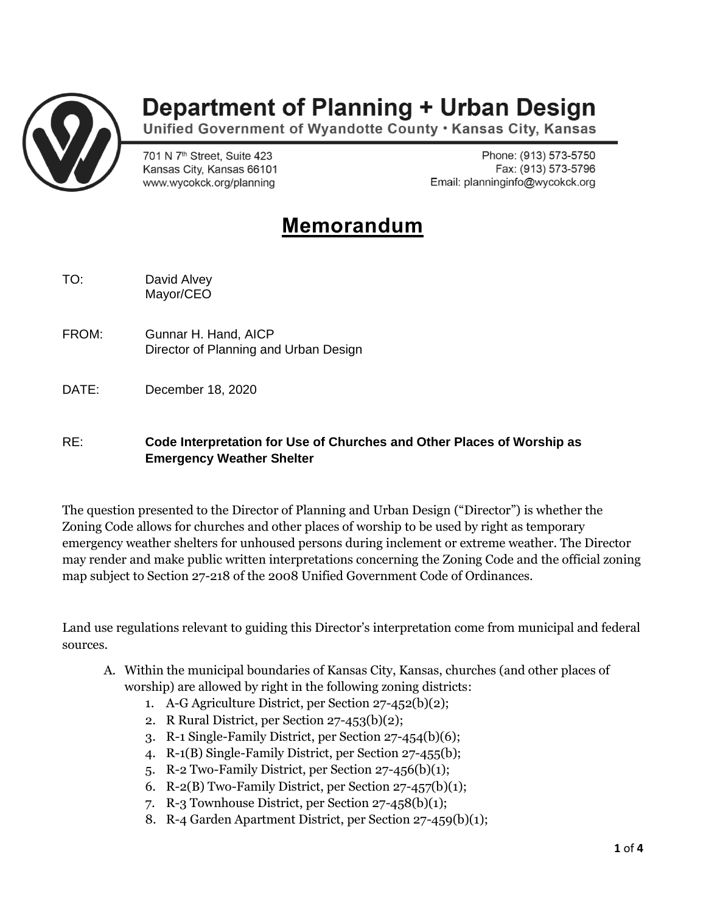

## **Department of Planning + Urban Design**

Unified Government of Wyandotte County . Kansas City, Kansas

701 N 7<sup>th</sup> Street, Suite 423 Kansas City, Kansas 66101 www.wycokck.org/planning

Phone: (913) 573-5750 Fax: (913) 573-5796 Email: planninginfo@wycokck.org

## **Memorandum**

TO: David Alvey Mayor/CEO

- FROM: Gunnar H. Hand, AICP Director of Planning and Urban Design
- DATE: December 18, 2020

## RE: **Code Interpretation for Use of Churches and Other Places of Worship as Emergency Weather Shelter**

The question presented to the Director of Planning and Urban Design ("Director") is whether the Zoning Code allows for churches and other places of worship to be used by right as temporary emergency weather shelters for unhoused persons during inclement or extreme weather. The Director may render and make public written interpretations concerning the Zoning Code and the official zoning map subject to Section 27-218 of the 2008 Unified Government Code of Ordinances.

Land use regulations relevant to guiding this Director's interpretation come from municipal and federal sources.

- A. Within the municipal boundaries of Kansas City, Kansas, churches (and other places of worship) are allowed by right in the following zoning districts:
	- 1. A-G Agriculture District, per Section 27-452(b)(2);
	- 2. R Rural District, per Section 27-453(b)(2);
	- 3. R-1 Single-Family District, per Section 27-454(b)(6);
	- 4. R-1(B) Single-Family District, per Section 27-455(b);
	- 5. R-2 Two-Family District, per Section 27-456(b)(1);
	- 6. R-2(B) Two-Family District, per Section  $27-457(b)(1)$ ;
	- 7. R-3 Townhouse District, per Section 27-458(b)(1);
	- 8. R-4 Garden Apartment District, per Section 27-459(b)(1);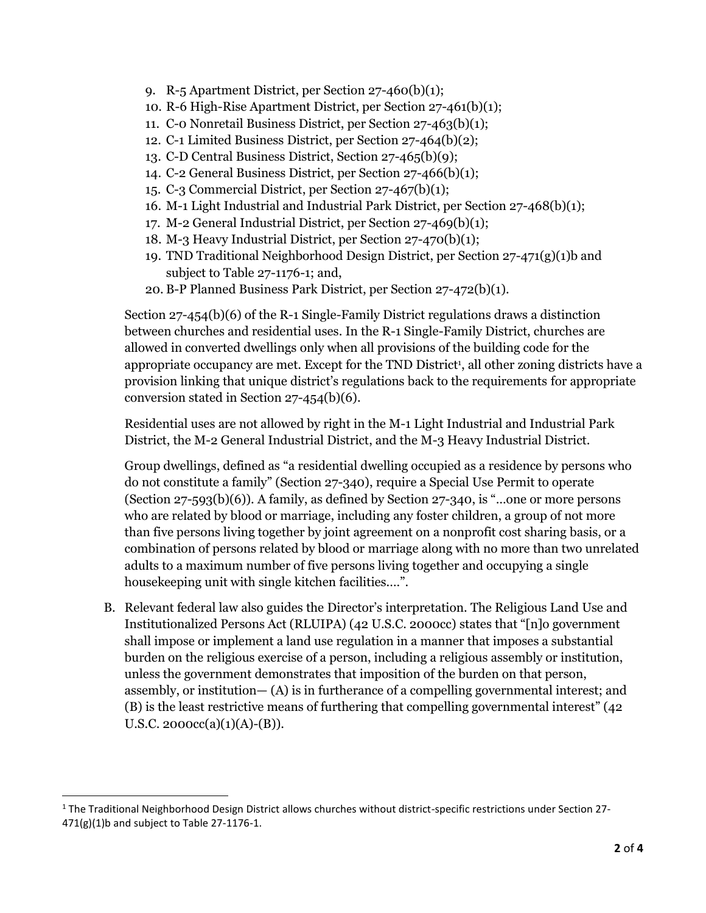- 9. R-5 Apartment District, per Section 27-460(b)(1);
- 10. R-6 High-Rise Apartment District, per Section 27-461(b)(1);
- 11. C-0 Nonretail Business District, per Section 27-463(b)(1);
- 12. C-1 Limited Business District, per Section 27-464(b)(2);
- 13. C-D Central Business District, Section 27-465(b)(9);
- 14. C-2 General Business District, per Section 27-466(b)(1);
- 15. C-3 Commercial District, per Section 27-467(b)(1);
- 16. M-1 Light Industrial and Industrial Park District, per Section 27-468(b)(1);
- 17. M-2 General Industrial District, per Section 27-469(b)(1);
- 18. M-3 Heavy Industrial District, per Section 27-470(b)(1);
- 19. TND Traditional Neighborhood Design District, per Section 27-471(g)(1)b and subject to Table 27-1176-1; and,
- 20. B-P Planned Business Park District, per Section 27-472(b)(1).

Section 27-454(b)(6) of the R-1 Single-Family District regulations draws a distinction between churches and residential uses. In the R-1 Single-Family District, churches are allowed in converted dwellings only when all provisions of the building code for the appropriate occupancy are met. Except for the TND District<sup>1</sup>, all other zoning districts have a provision linking that unique district's regulations back to the requirements for appropriate conversion stated in Section 27-454(b)(6).

Residential uses are not allowed by right in the M-1 Light Industrial and Industrial Park District, the M-2 General Industrial District, and the M-3 Heavy Industrial District.

Group dwellings, defined as "a residential dwelling occupied as a residence by persons who do not constitute a family" (Section 27-340), require a Special Use Permit to operate (Section 27-593(b)(6)). A family, as defined by Section 27-340, is "…one or more persons who are related by blood or marriage, including any foster children, a group of not more than five persons living together by joint agreement on a nonprofit cost sharing basis, or a combination of persons related by blood or marriage along with no more than two unrelated adults to a maximum number of five persons living together and occupying a single housekeeping unit with single kitchen facilities.…".

B. Relevant federal law also guides the Director's interpretation. The Religious Land Use and Institutionalized Persons Act (RLUIPA) (42 U.S.C. 2000cc) states that "[n]o government shall impose or implement a land use regulation in a manner that imposes a substantial burden on the religious exercise of a person, including a religious assembly or institution, unless the government demonstrates that imposition of the burden on that person, assembly, or institution— (A) is in furtherance of a compelling governmental interest; and (B) is the least restrictive means of furthering that compelling governmental interest" (42 U.S.C. 2000cc(a)(1)(A)-(B)).

 $1$  The Traditional Neighborhood Design District allows churches without district-specific restrictions under Section 27-471(g)(1)b and subject to Table 27-1176-1.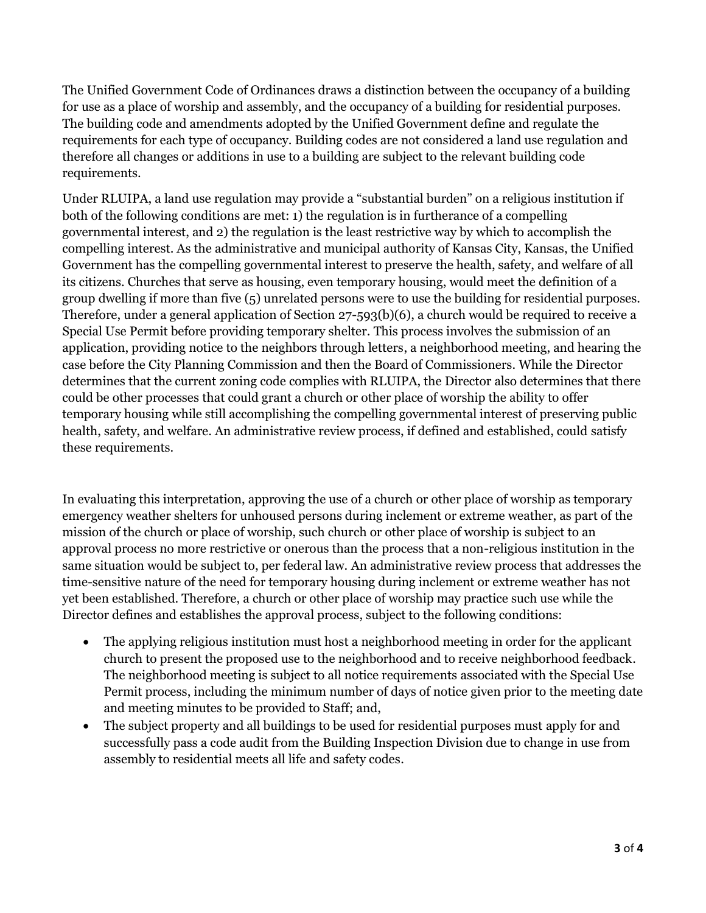The Unified Government Code of Ordinances draws a distinction between the occupancy of a building for use as a place of worship and assembly, and the occupancy of a building for residential purposes. The building code and amendments adopted by the Unified Government define and regulate the requirements for each type of occupancy. Building codes are not considered a land use regulation and therefore all changes or additions in use to a building are subject to the relevant building code requirements.

Under RLUIPA, a land use regulation may provide a "substantial burden" on a religious institution if both of the following conditions are met: 1) the regulation is in furtherance of a compelling governmental interest, and 2) the regulation is the least restrictive way by which to accomplish the compelling interest. As the administrative and municipal authority of Kansas City, Kansas, the Unified Government has the compelling governmental interest to preserve the health, safety, and welfare of all its citizens. Churches that serve as housing, even temporary housing, would meet the definition of a group dwelling if more than five (5) unrelated persons were to use the building for residential purposes. Therefore, under a general application of Section 27-593(b)(6), a church would be required to receive a Special Use Permit before providing temporary shelter. This process involves the submission of an application, providing notice to the neighbors through letters, a neighborhood meeting, and hearing the case before the City Planning Commission and then the Board of Commissioners. While the Director determines that the current zoning code complies with RLUIPA, the Director also determines that there could be other processes that could grant a church or other place of worship the ability to offer temporary housing while still accomplishing the compelling governmental interest of preserving public health, safety, and welfare. An administrative review process, if defined and established, could satisfy these requirements.

In evaluating this interpretation, approving the use of a church or other place of worship as temporary emergency weather shelters for unhoused persons during inclement or extreme weather, as part of the mission of the church or place of worship, such church or other place of worship is subject to an approval process no more restrictive or onerous than the process that a non-religious institution in the same situation would be subject to, per federal law. An administrative review process that addresses the time-sensitive nature of the need for temporary housing during inclement or extreme weather has not yet been established. Therefore, a church or other place of worship may practice such use while the Director defines and establishes the approval process, subject to the following conditions:

- The applying religious institution must host a neighborhood meeting in order for the applicant church to present the proposed use to the neighborhood and to receive neighborhood feedback. The neighborhood meeting is subject to all notice requirements associated with the Special Use Permit process, including the minimum number of days of notice given prior to the meeting date and meeting minutes to be provided to Staff; and,
- The subject property and all buildings to be used for residential purposes must apply for and successfully pass a code audit from the Building Inspection Division due to change in use from assembly to residential meets all life and safety codes.